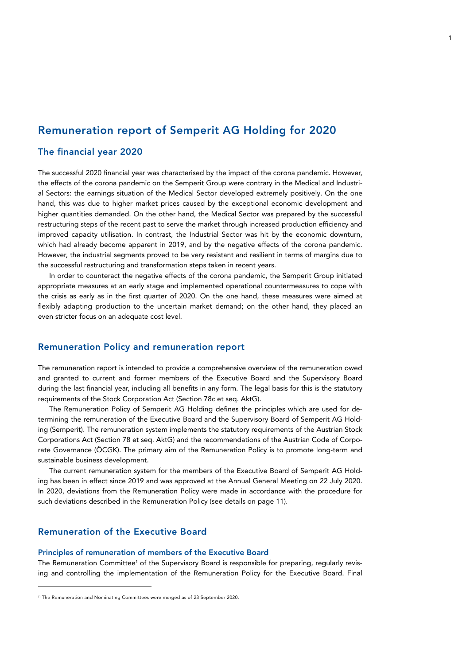# Remuneration report of Semperit AG Holding for 2020

## The financial year 2020

The successful 2020 financial year was characterised by the impact of the corona pandemic. However, the effects of the corona pandemic on the Semperit Group were contrary in the Medical and Industrial Sectors: the earnings situation of the Medical Sector developed extremely positively. On the one hand, this was due to higher market prices caused by the exceptional economic development and higher quantities demanded. On the other hand, the Medical Sector was prepared by the successful restructuring steps of the recent past to serve the market through increased production efficiency and improved capacity utilisation. In contrast, the Industrial Sector was hit by the economic downturn, which had already become apparent in 2019, and by the negative effects of the corona pandemic. However, the industrial segments proved to be very resistant and resilient in terms of margins due to the successful restructuring and transformation steps taken in recent years.

In order to counteract the negative effects of the corona pandemic, the Semperit Group initiated appropriate measures at an early stage and implemented operational countermeasures to cope with the crisis as early as in the first quarter of 2020. On the one hand, these measures were aimed at flexibly adapting production to the uncertain market demand; on the other hand, they placed an even stricter focus on an adequate cost level.

## Remuneration Policy and remuneration report

The remuneration report is intended to provide a comprehensive overview of the remuneration owed and granted to current and former members of the Executive Board and the Supervisory Board during the last financial year, including all benefits in any form. The legal basis for this is the statutory requirements of the Stock Corporation Act (Section 78c et seq. AktG).

The Remuneration Policy of Semperit AG Holding defines the principles which are used for determining the remuneration of the Executive Board and the Supervisory Board of Semperit AG Holding (Semperit). The remuneration system implements the statutory requirements of the Austrian Stock Corporations Act (Section 78 et seq. AktG) and the recommendations of the Austrian Code of Corporate Governance (ÖCGK). The primary aim of the Remuneration Policy is to promote long-term and sustainable business development.

The current remuneration system for the members of the Executive Board of Semperit AG Holding has been in effect since 2019 and was approved at the Annual General Meeting on 22 July 2020. In 2020, deviations from the Remuneration Policy were made in accordance with the procedure for such deviations described in the Remuneration Policy (see details on page 11).

## Remuneration of the Executive Board

j

## Principles of remuneration of members of the Executive Board

The Remuneration Committee<sup>1</sup> of the Supervisory Board is responsible for preparing, regularly revising and controlling the implementation of the Remuneration Policy for the Executive Board. Final

<sup>&</sup>lt;sup>1)</sup> The Remuneration and Nominating Committees were merged as of 23 September 2020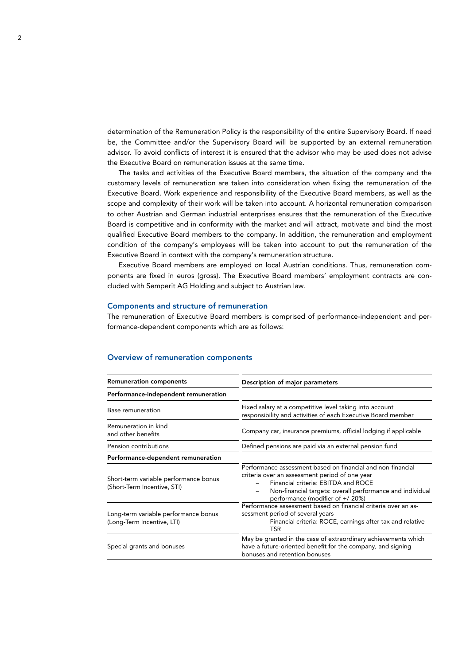determination of the Remuneration Policy is the responsibility of the entire Supervisory Board. If need be, the Committee and/or the Supervisory Board will be supported by an external remuneration advisor. To avoid conflicts of interest it is ensured that the advisor who may be used does not advise the Executive Board on remuneration issues at the same time.

The tasks and activities of the Executive Board members, the situation of the company and the customary levels of remuneration are taken into consideration when fixing the remuneration of the Executive Board. Work experience and responsibility of the Executive Board members, as well as the scope and complexity of their work will be taken into account. A horizontal remuneration comparison to other Austrian and German industrial enterprises ensures that the remuneration of the Executive Board is competitive and in conformity with the market and will attract, motivate and bind the most qualified Executive Board members to the company. In addition, the remuneration and employment condition of the company's employees will be taken into account to put the remuneration of the Executive Board in context with the company's remuneration structure.

Executive Board members are employed on local Austrian conditions. Thus, remuneration components are fixed in euros (gross). The Executive Board members' employment contracts are concluded with Semperit AG Holding and subject to Austrian law.

## Components and structure of remuneration

The remuneration of Executive Board members is comprised of performance-independent and performance-dependent components which are as follows:

| <b>Remuneration components</b>                                       | Description of major parameters                                                                                                                                                                                                                       |  |  |  |  |
|----------------------------------------------------------------------|-------------------------------------------------------------------------------------------------------------------------------------------------------------------------------------------------------------------------------------------------------|--|--|--|--|
| Performance-independent remuneration                                 |                                                                                                                                                                                                                                                       |  |  |  |  |
| Base remuneration                                                    | Fixed salary at a competitive level taking into account<br>responsibility and activities of each Executive Board member                                                                                                                               |  |  |  |  |
| Remuneration in kind<br>and other benefits                           | Company car, insurance premiums, official lodging if applicable                                                                                                                                                                                       |  |  |  |  |
| Pension contributions                                                | Defined pensions are paid via an external pension fund                                                                                                                                                                                                |  |  |  |  |
| Performance-dependent remuneration                                   |                                                                                                                                                                                                                                                       |  |  |  |  |
| Short-term variable performance bonus<br>(Short-Term Incentive, STI) | Performance assessment based on financial and non-financial<br>criteria over an assessment period of one year<br>Financial criteria: EBITDA and ROCE<br>Non-financial targets: overall performance and individual<br>performance (modifier of +/-20%) |  |  |  |  |
| Long-term variable performance bonus<br>(Long-Term Incentive, LTI)   | Performance assessment based on financial criteria over an as-<br>sessment period of several years<br>Financial criteria: ROCE, earnings after tax and relative<br>TSR                                                                                |  |  |  |  |
| Special grants and bonuses                                           | May be granted in the case of extraordinary achievements which<br>have a future-oriented benefit for the company, and signing<br>bonuses and retention bonuses                                                                                        |  |  |  |  |

## Overview of remuneration components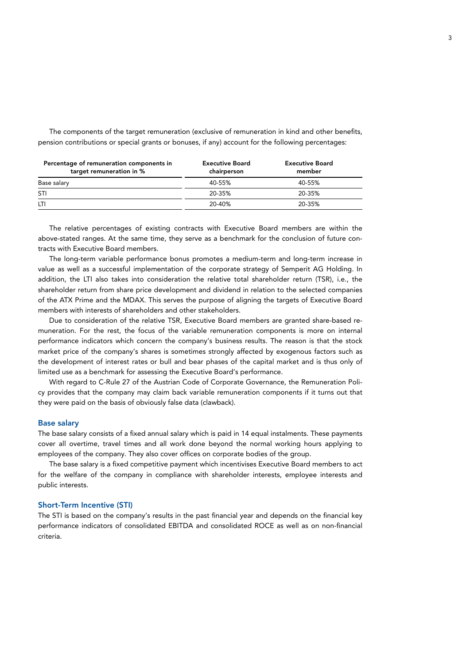| Percentage of remuneration components in<br>target remuneration in % | <b>Executive Board</b><br>chairperson | <b>Executive Board</b><br>member |
|----------------------------------------------------------------------|---------------------------------------|----------------------------------|
| Base salary                                                          | 40-55%                                | 40-55%                           |
| STI                                                                  | 20-35%                                | 20-35%                           |
| LTI.                                                                 | 20-40%                                | 20-35%                           |

The components of the target remuneration (exclusive of remuneration in kind and other benefits, pension contributions or special grants or bonuses, if any) account for the following percentages:

The relative percentages of existing contracts with Executive Board members are within the above-stated ranges. At the same time, they serve as a benchmark for the conclusion of future contracts with Executive Board members.

The long-term variable performance bonus promotes a medium-term and long-term increase in value as well as a successful implementation of the corporate strategy of Semperit AG Holding. In addition, the LTI also takes into consideration the relative total shareholder return (TSR), i.e., the shareholder return from share price development and dividend in relation to the selected companies of the ATX Prime and the MDAX. This serves the purpose of aligning the targets of Executive Board members with interests of shareholders and other stakeholders.

Due to consideration of the relative TSR, Executive Board members are granted share-based remuneration. For the rest, the focus of the variable remuneration components is more on internal performance indicators which concern the company's business results. The reason is that the stock market price of the company's shares is sometimes strongly affected by exogenous factors such as the development of interest rates or bull and bear phases of the capital market and is thus only of limited use as a benchmark for assessing the Executive Board's performance.

With regard to C-Rule 27 of the Austrian Code of Corporate Governance, the Remuneration Policy provides that the company may claim back variable remuneration components if it turns out that they were paid on the basis of obviously false data (clawback).

#### Base salary

The base salary consists of a fixed annual salary which is paid in 14 equal instalments. These payments cover all overtime, travel times and all work done beyond the normal working hours applying to employees of the company. They also cover offices on corporate bodies of the group.

The base salary is a fixed competitive payment which incentivises Executive Board members to act for the welfare of the company in compliance with shareholder interests, employee interests and public interests.

## Short-Term Incentive (STI)

The STI is based on the company's results in the past financial year and depends on the financial key performance indicators of consolidated EBITDA and consolidated ROCE as well as on non-financial criteria.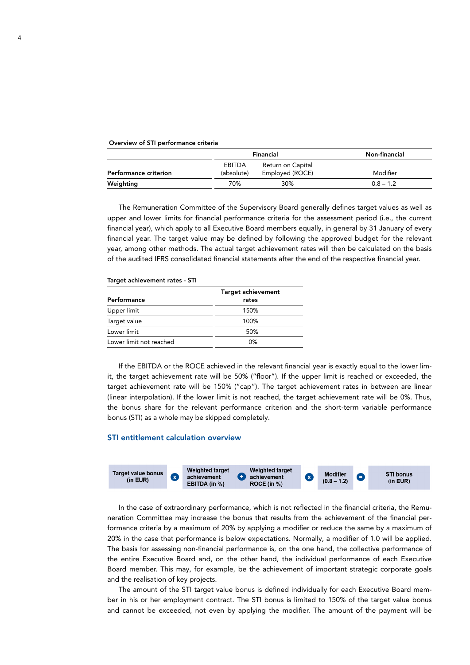#### Overview of STI performance criteria

|                       |                             | Financial                            | Non-financial |
|-----------------------|-----------------------------|--------------------------------------|---------------|
| Performance criterion | <b>EBITDA</b><br>(absolute) | Return on Capital<br>Employed (ROCE) | Modifier      |
| Weighting             | 70%                         | 30%                                  | $0.8 - 1.2$   |

The Remuneration Committee of the Supervisory Board generally defines target values as well as upper and lower limits for financial performance criteria for the assessment period (i.e., the current financial year), which apply to all Executive Board members equally, in general by 31 January of every financial year. The target value may be defined by following the approved budget for the relevant year, among other methods. The actual target achievement rates will then be calculated on the basis of the audited IFRS consolidated financial statements after the end of the respective financial year.

#### Target achievement rates - STI

| Performance             | <b>Target achievement</b><br>rates |
|-------------------------|------------------------------------|
| Upper limit             | 150%                               |
| Target value            | 100%                               |
| Lower limit             | 50%                                |
| Lower limit not reached | 0%                                 |

If the EBITDA or the ROCE achieved in the relevant financial year is exactly equal to the lower limit, the target achievement rate will be 50% ("floor"). If the upper limit is reached or exceeded, the target achievement rate will be 150% ("cap"). The target achievement rates in between are linear (linear interpolation). If the lower limit is not reached, the target achievement rate will be 0%. Thus, the bonus share for the relevant performance criterion and the short-term variable performance bonus (STI) as a whole may be skipped completely.

 $\overline{\phantom{a}}$ 

## STI entitlement calculation overview



In the case of extraordinary performance, which is not reflected in the financial criteria, the Remuneration Committee may increase the bonus that results from the achievement of the financial performance criteria by a maximum of 20% by applying a modifier or reduce the same by a maximum of 20% in the case that performance is below expectations. Normally, a modifier of 1.0 will be applied. The basis for assessing non-financial performance is, on the one hand, the collective performance of the entire Executive Board and, on the other hand, the individual performance of each Executive Board member. This may, for example, be the achievement of important strategic corporate goals and the realisation of key projects.

The amount of the STI target value bonus is defined individually for each Executive Board member in his or her employment contract. The STI bonus is limited to 150% of the target value bonus and cannot be exceeded, not even by applying the modifier. The amount of the payment will be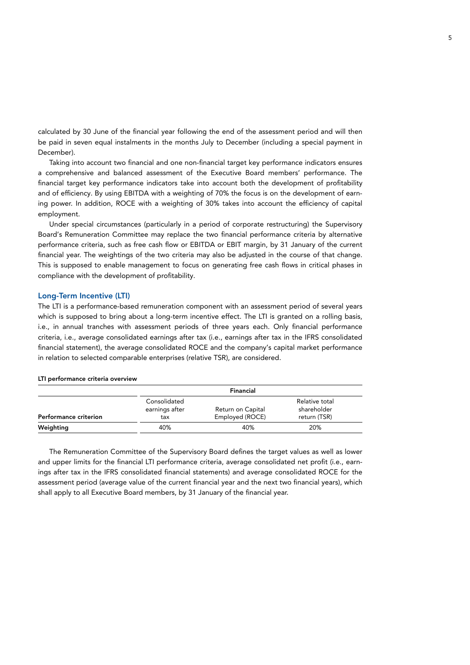calculated by 30 June of the financial year following the end of the assessment period and will then be paid in seven equal instalments in the months July to December (including a special payment in December).

Taking into account two financial and one non-financial target key performance indicators ensures a comprehensive and balanced assessment of the Executive Board members' performance. The financial target key performance indicators take into account both the development of profitability and of efficiency. By using EBITDA with a weighting of 70% the focus is on the development of earning power. In addition, ROCE with a weighting of 30% takes into account the efficiency of capital employment.

Under special circumstances (particularly in a period of corporate restructuring) the Supervisory Board's Remuneration Committee may replace the two financial performance criteria by alternative performance criteria, such as free cash flow or EBITDA or EBIT margin, by 31 January of the current financial year. The weightings of the two criteria may also be adjusted in the course of that change. This is supposed to enable management to focus on generating free cash flows in critical phases in compliance with the development of profitability.

## Long-Term Incentive (LTI)

The LTI is a performance-based remuneration component with an assessment period of several years which is supposed to bring about a long-term incentive effect. The LTI is granted on a rolling basis, i.e., in annual tranches with assessment periods of three years each. Only financial performance criteria, i.e., average consolidated earnings after tax (i.e., earnings after tax in the IFRS consolidated financial statement), the average consolidated ROCE and the company's capital market performance in relation to selected comparable enterprises (relative TSR), are considered.

|                              |                                       | Financial                            |                                               |  |
|------------------------------|---------------------------------------|--------------------------------------|-----------------------------------------------|--|
| <b>Performance criterion</b> | Consolidated<br>earnings after<br>tax | Return on Capital<br>Employed (ROCE) | Relative total<br>shareholder<br>return (TSR) |  |
| Weighting                    | 40%                                   | 40%                                  | 20%                                           |  |

#### LTI performance criteria overview

The Remuneration Committee of the Supervisory Board defines the target values as well as lower and upper limits for the financial LTI performance criteria, average consolidated net profit (i.e., earnings after tax in the IFRS consolidated financial statements) and average consolidated ROCE for the assessment period (average value of the current financial year and the next two financial years), which shall apply to all Executive Board members, by 31 January of the financial year.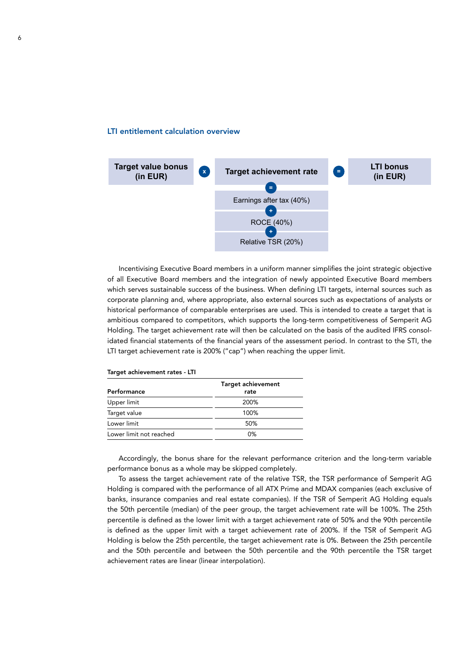#### LTI entitlement calculation overview



Incentivising Executive Board members in a uniform manner simplifies the joint strategic objective of all Executive Board members and the integration of newly appointed Executive Board members which serves sustainable success of the business. When defining LTI targets, internal sources such as corporate planning and, where appropriate, also external sources such as expectations of analysts or historical performance of comparable enterprises are used. This is intended to create a target that is ambitious compared to competitors, which supports the long-term competitiveness of Semperit AG Holding. The target achievement rate will then be calculated on the basis of the audited IFRS consolidated financial statements of the financial years of the assessment period. In contrast to the STI, the LTI target achievement rate is 200% ("cap") when reaching the upper limit.

| Performance             | <b>Target achievement</b><br>rate |
|-------------------------|-----------------------------------|
| Upper limit             | 200%                              |
| Target value            | 100%                              |
| Lower limit             | 50%                               |
| Lower limit not reached | 0%                                |

Target achievement rates - LTI

Accordingly, the bonus share for the relevant performance criterion and the long-term variable performance bonus as a whole may be skipped completely.

To assess the target achievement rate of the relative TSR, the TSR performance of Semperit AG Holding is compared with the performance of all ATX Prime and MDAX companies (each exclusive of banks, insurance companies and real estate companies). If the TSR of Semperit AG Holding equals the 50th percentile (median) of the peer group, the target achievement rate will be 100%. The 25th percentile is defined as the lower limit with a target achievement rate of 50% and the 90th percentile is defined as the upper limit with a target achievement rate of 200%. If the TSR of Semperit AG Holding is below the 25th percentile, the target achievement rate is 0%. Between the 25th percentile and the 50th percentile and between the 50th percentile and the 90th percentile the TSR target achievement rates are linear (linear interpolation).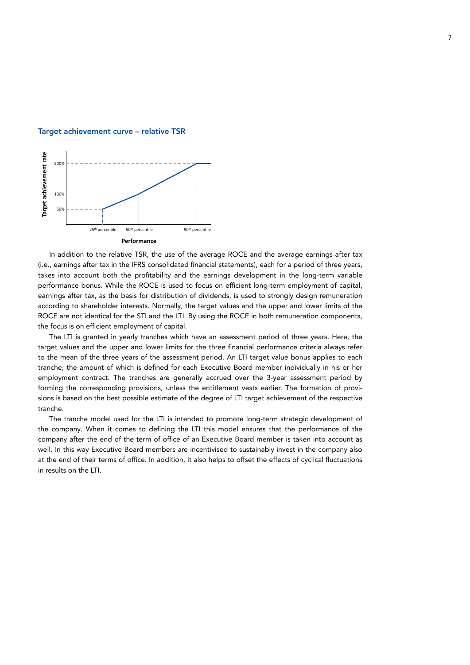

#### Target achievement curve – relative TSR

In addition to the relative TSR, the use of the average ROCE and the average earnings after tax (i.e., earnings after tax in the IFRS consolidated financial statements), each for a period of three years, takes into account both the profitability and the earnings development in the long-term variable performance bonus. While the ROCE is used to focus on efficient long-term employment of capital, earnings after tax, as the basis for distribution of dividends, is used to strongly design remuneration according to shareholder interests. Normally, the target values and the upper and lower limits of the ROCE are not identical for the STI and the LTI. By using the ROCE in both remuneration components, the focus is on efficient employment of capital.

The LTI is granted in yearly tranches which have an assessment period of three years. Here, the target values and the upper and lower limits for the three financial performance criteria always refer to the mean of the three years of the assessment period. An LTI target value bonus applies to each tranche, the amount of which is defined for each Executive Board member individually in his or her employment contract. The tranches are generally accrued over the 3-year assessment period by forming the corresponding provisions, unless the entitlement vests earlier. The formation of provisions is based on the best possible estimate of the degree of LTI target achievement of the respective tranche.

The tranche model used for the LTI is intended to promote long-term strategic development of the company. When it comes to defining the LTI this model ensures that the performance of the company after the end of the term of office of an Executive Board member is taken into account as well. In this way Executive Board members are incentivised to sustainably invest in the company also at the end of their terms of office. In addition, it also helps to offset the effects of cyclical fluctuations in results on the LTI.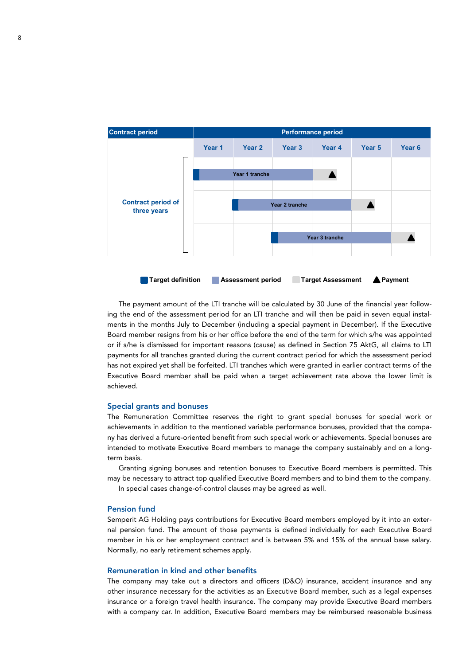

The payment amount of the LTI tranche will be calculated by 30 June of the financial year following the end of the assessment period for an LTI tranche and will then be paid in seven equal instalments in the months July to December (including a special payment in December). If the Executive Board member resigns from his or her office before the end of the term for which s/he was appointed or if s/he is dismissed for important reasons (cause) as defined in Section 75 AktG, all claims to LTI payments for all tranches granted during the current contract period for which the assessment period has not expired yet shall be forfeited. LTI tranches which were granted in earlier contract terms of the Executive Board member shall be paid when a target achievement rate above the lower limit is achieved.

## Special grants and bonuses

The Remuneration Committee reserves the right to grant special bonuses for special work or achievements in addition to the mentioned variable performance bonuses, provided that the company has derived a future-oriented benefit from such special work or achievements. Special bonuses are intended to motivate Executive Board members to manage the company sustainably and on a longterm basis.

Granting signing bonuses and retention bonuses to Executive Board members is permitted. This may be necessary to attract top qualified Executive Board members and to bind them to the company.

In special cases change-of-control clauses may be agreed as well.

#### Pension fund

Semperit AG Holding pays contributions for Executive Board members employed by it into an external pension fund. The amount of those payments is defined individually for each Executive Board member in his or her employment contract and is between 5% and 15% of the annual base salary. Normally, no early retirement schemes apply.

### Remuneration in kind and other benefits

The company may take out a directors and officers (D&O) insurance, accident insurance and any other insurance necessary for the activities as an Executive Board member, such as a legal expenses insurance or a foreign travel health insurance. The company may provide Executive Board members with a company car. In addition, Executive Board members may be reimbursed reasonable business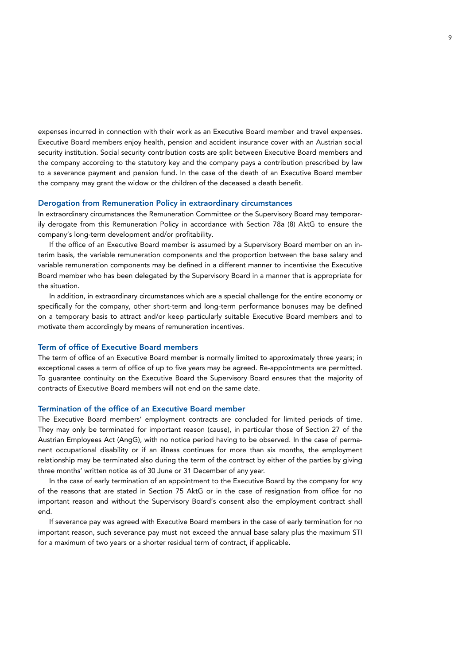expenses incurred in connection with their work as an Executive Board member and travel expenses. Executive Board members enjoy health, pension and accident insurance cover with an Austrian social security institution. Social security contribution costs are split between Executive Board members and the company according to the statutory key and the company pays a contribution prescribed by law to a severance payment and pension fund. In the case of the death of an Executive Board member the company may grant the widow or the children of the deceased a death benefit.

#### Derogation from Remuneration Policy in extraordinary circumstances

In extraordinary circumstances the Remuneration Committee or the Supervisory Board may temporarily derogate from this Remuneration Policy in accordance with Section 78a (8) AktG to ensure the company's long-term development and/or profitability.

If the office of an Executive Board member is assumed by a Supervisory Board member on an interim basis, the variable remuneration components and the proportion between the base salary and variable remuneration components may be defined in a different manner to incentivise the Executive Board member who has been delegated by the Supervisory Board in a manner that is appropriate for the situation.

In addition, in extraordinary circumstances which are a special challenge for the entire economy or specifically for the company, other short-term and long-term performance bonuses may be defined on a temporary basis to attract and/or keep particularly suitable Executive Board members and to motivate them accordingly by means of remuneration incentives.

#### Term of office of Executive Board members

The term of office of an Executive Board member is normally limited to approximately three years; in exceptional cases a term of office of up to five years may be agreed. Re-appointments are permitted. To guarantee continuity on the Executive Board the Supervisory Board ensures that the majority of contracts of Executive Board members will not end on the same date.

### Termination of the office of an Executive Board member

The Executive Board members' employment contracts are concluded for limited periods of time. They may only be terminated for important reason (cause), in particular those of Section 27 of the Austrian Employees Act (AngG), with no notice period having to be observed. In the case of permanent occupational disability or if an illness continues for more than six months, the employment relationship may be terminated also during the term of the contract by either of the parties by giving three months' written notice as of 30 June or 31 December of any year.

In the case of early termination of an appointment to the Executive Board by the company for any of the reasons that are stated in Section 75 AktG or in the case of resignation from office for no important reason and without the Supervisory Board's consent also the employment contract shall end.

If severance pay was agreed with Executive Board members in the case of early termination for no important reason, such severance pay must not exceed the annual base salary plus the maximum STI for a maximum of two years or a shorter residual term of contract, if applicable.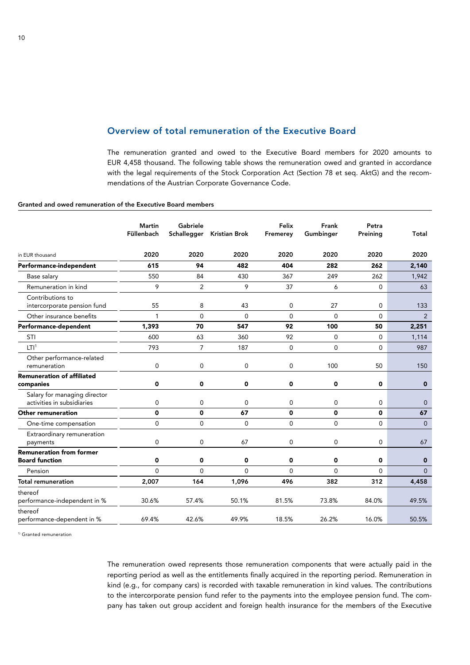## Overview of total remuneration of the Executive Board

The remuneration granted and owed to the Executive Board members for 2020 amounts to EUR 4,458 thousand. The following table shows the remuneration owed and granted in accordance with the legal requirements of the Stock Corporation Act (Section 78 et seq. AktG) and the recommendations of the Austrian Corporate Governance Code.

 $\sim$ 

### Granted and owed remuneration of the Executive Board members

|                                                            | Martin<br>Füllenbach | Gabriele<br>Schallegger | Kristian Brok | Felix<br>Fremerey | Frank<br>Gumbinger | Petra<br>Preining | Total          |
|------------------------------------------------------------|----------------------|-------------------------|---------------|-------------------|--------------------|-------------------|----------------|
| in EUR thousand                                            | 2020                 | 2020                    | 2020          | 2020              | 2020               | 2020              | 2020           |
| Performance-independent                                    | 615                  | 94                      | 482           | 404               | 282                | 262               | 2,140          |
| Base salary                                                | 550                  | 84                      | 430           | 367               | 249                | 262               | 1,942          |
| Remuneration in kind                                       | 9                    | $\overline{2}$          | 9             | 37                | 6                  | $\mathbf{0}$      | 63             |
| Contributions to<br>intercorporate pension fund            | 55                   | 8                       | 43            | 0                 | 27                 | 0                 | 133            |
| Other insurance benefits                                   | $\mathbf{1}$         | $\overline{0}$          | $\mathbf{0}$  | $\mathbf{0}$      | $\overline{0}$     | $\mathbf 0$       | 2              |
| Performance-dependent                                      | 1,393                | 70                      | 547           | 92                | 100                | 50                | 2,251          |
| STI                                                        | 600                  | 63                      | 360           | 92                | 0                  | 0                 | 1,114          |
| LTI <sup>1</sup>                                           | 793                  | $\overline{7}$          | 187           | $\mathbf{0}$      | $\mathbf 0$        | $\mathbf{0}$      | 987            |
| Other performance-related<br>remuneration                  | 0                    | $\overline{0}$          | $\mathbf{0}$  | $\mathbf 0$       | 100                | 50                | 150            |
| <b>Remuneration of affiliated</b><br>companies             | 0                    | 0                       | 0             | $\mathbf 0$       | 0                  | $\mathbf 0$       | $\mathbf 0$    |
| Salary for managing director<br>activities in subsidiaries | 0                    | 0                       | $\mathbf 0$   | $\mathbf 0$       | $\mathbf 0$        | 0                 | $\overline{0}$ |
| <b>Other remuneration</b>                                  | 0                    | 0                       | 67            | $\mathbf 0$       | 0                  | 0                 | 67             |
| One-time compensation                                      | $\mathbf 0$          | $\mathbf 0$             | $\mathbf{0}$  | $\mathbf{0}$      | $\overline{0}$     | $\mathbf{0}$      | $\Omega$       |
| Extraordinary remuneration<br>payments                     | 0                    | 0                       | 67            | $\mathbf 0$       | $\mathbf 0$        | $\mathbf{0}$      | 67             |
| <b>Remuneration from former</b><br><b>Board function</b>   | 0                    | 0                       | 0             | 0                 | 0                  | 0                 | $\bf{0}$       |
| Pension                                                    | $\Omega$             | $\overline{0}$          | $\mathbf 0$   | $\mathbf 0$       | $\mathbf 0$        | $\mathbf{0}$      | $\overline{0}$ |
| <b>Total remuneration</b>                                  | 2,007                | 164                     | 1,096         | 496               | 382                | 312               | 4,458          |
| thereof<br>performance-independent in %                    | 30.6%                | 57.4%                   | 50.1%         | 81.5%             | 73.8%              | 84.0%             | 49.5%          |
| thereof<br>performance-dependent in %                      | 69.4%                | 42.6%                   | 49.9%         | 18.5%             | 26.2%              | 16.0%             | 50.5%          |

<sup>1)</sup> Granted remuneration

The remuneration owed represents those remuneration components that were actually paid in the reporting period as well as the entitlements finally acquired in the reporting period. Remuneration in kind (e.g., for company cars) is recorded with taxable remuneration in kind values. The contributions to the intercorporate pension fund refer to the payments into the employee pension fund. The company has taken out group accident and foreign health insurance for the members of the Executive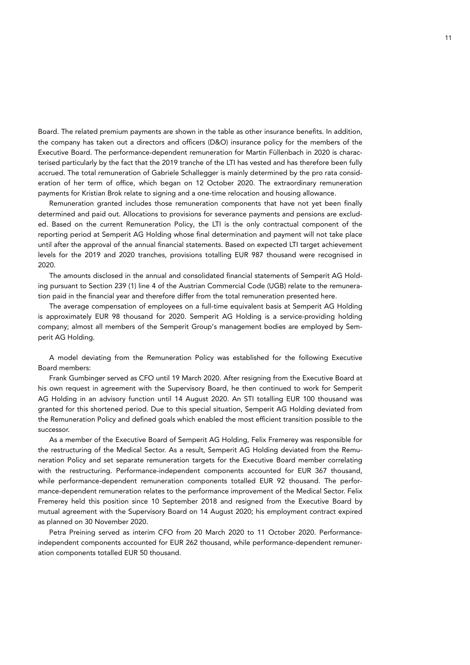Board. The related premium payments are shown in the table as other insurance benefits. In addition, the company has taken out a directors and officers (D&O) insurance policy for the members of the Executive Board. The performance-dependent remuneration for Martin Füllenbach in 2020 is characterised particularly by the fact that the 2019 tranche of the LTI has vested and has therefore been fully accrued. The total remuneration of Gabriele Schallegger is mainly determined by the pro rata consideration of her term of office, which began on 12 October 2020. The extraordinary remuneration payments for Kristian Brok relate to signing and a one-time relocation and housing allowance.

Remuneration granted includes those remuneration components that have not yet been finally determined and paid out. Allocations to provisions for severance payments and pensions are excluded. Based on the current Remuneration Policy, the LTI is the only contractual component of the reporting period at Semperit AG Holding whose final determination and payment will not take place until after the approval of the annual financial statements. Based on expected LTI target achievement levels for the 2019 and 2020 tranches, provisions totalling EUR 987 thousand were recognised in 2020.

The amounts disclosed in the annual and consolidated financial statements of Semperit AG Holding pursuant to Section 239 (1) line 4 of the Austrian Commercial Code (UGB) relate to the remuneration paid in the financial year and therefore differ from the total remuneration presented here.

The average compensation of employees on a full-time equivalent basis at Semperit AG Holding is approximately EUR 98 thousand for 2020. Semperit AG Holding is a service-providing holding company; almost all members of the Semperit Group's management bodies are employed by Semperit AG Holding.

A model deviating from the Remuneration Policy was established for the following Executive Board members:

Frank Gumbinger served as CFO until 19 March 2020. After resigning from the Executive Board at his own request in agreement with the Supervisory Board, he then continued to work for Semperit AG Holding in an advisory function until 14 August 2020. An STI totalling EUR 100 thousand was granted for this shortened period. Due to this special situation, Semperit AG Holding deviated from the Remuneration Policy and defined goals which enabled the most efficient transition possible to the successor.

As a member of the Executive Board of Semperit AG Holding, Felix Fremerey was responsible for the restructuring of the Medical Sector. As a result, Semperit AG Holding deviated from the Remuneration Policy and set separate remuneration targets for the Executive Board member correlating with the restructuring. Performance-independent components accounted for EUR 367 thousand, while performance-dependent remuneration components totalled EUR 92 thousand. The performance-dependent remuneration relates to the performance improvement of the Medical Sector. Felix Fremerey held this position since 10 September 2018 and resigned from the Executive Board by mutual agreement with the Supervisory Board on 14 August 2020; his employment contract expired as planned on 30 November 2020.

Petra Preining served as interim CFO from 20 March 2020 to 11 October 2020. Performanceindependent components accounted for EUR 262 thousand, while performance-dependent remuneration components totalled EUR 50 thousand.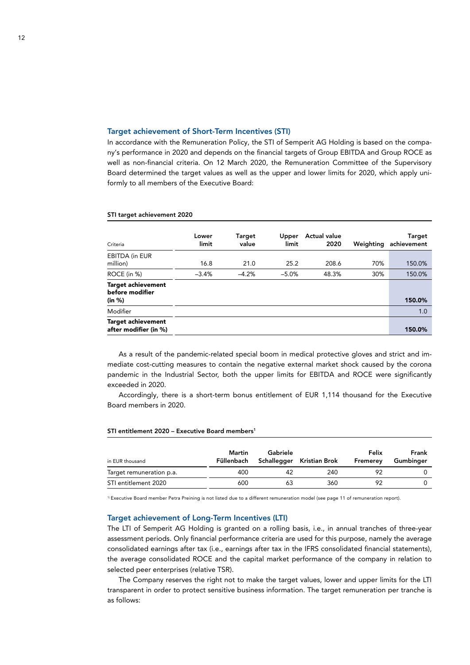### Target achievement of Short-Term Incentives (STI)

In accordance with the Remuneration Policy, the STI of Semperit AG Holding is based on the company's performance in 2020 and depends on the financial targets of Group EBITDA and Group ROCE as well as non-financial criteria. On 12 March 2020, the Remuneration Committee of the Supervisory Board determined the target values as well as the upper and lower limits for 2020, which apply uniformly to all members of the Executive Board:

| Criteria                                        | Lower<br>limit | Target<br>value | Upper<br>limit | <b>Actual value</b><br>2020 | Weighting | <b>Target</b><br>achievement |
|-------------------------------------------------|----------------|-----------------|----------------|-----------------------------|-----------|------------------------------|
| <b>EBITDA (in EUR</b><br>million)               | 16.8           | 21.0            | 25.2           | 208.6                       | 70%       | 150.0%                       |
| ROCE (in %)                                     | $-3.4%$        | $-4.2%$         | $-5.0%$        | 48.3%                       | 30%       | 150.0%                       |
| Target achievement<br>before modifier<br>(in %) |                |                 |                |                             |           | 150.0%                       |
| Modifier                                        |                |                 |                |                             |           | 1.0                          |
| Target achievement<br>after modifier (in %)     |                |                 |                |                             |           | 150.0%                       |

#### STI target achievement 2020

As a result of the pandemic-related special boom in medical protective gloves and strict and immediate cost-cutting measures to contain the negative external market shock caused by the corona pandemic in the Industrial Sector, both the upper limits for EBITDA and ROCE were significantly exceeded in 2020.

Accordingly, there is a short-term bonus entitlement of EUR 1,114 thousand for the Executive Board members in 2020.

#### STI entitlement 2020 – Executive Board members<sup>1</sup>

| in EUR thousand          | Martin<br>Füllenbach | Gabriele<br>Schallegger | Kristian Brok | Felix<br>Fremerev | Frank<br>Gumbinger |
|--------------------------|----------------------|-------------------------|---------------|-------------------|--------------------|
| Target remuneration p.a. | 400                  | 42                      | 240           | Q2                |                    |
| STI entitlement 2020     | 600                  | 63                      | 360           | 92                |                    |

1) Executive Board member Petra Preining is not listed due to a different remuneration model (see page 11 of remuneration report).

#### Target achievement of Long-Term Incentives (LTI)

The LTI of Semperit AG Holding is granted on a rolling basis, i.e., in annual tranches of three-year assessment periods. Only financial performance criteria are used for this purpose, namely the average consolidated earnings after tax (i.e., earnings after tax in the IFRS consolidated financial statements), the average consolidated ROCE and the capital market performance of the company in relation to selected peer enterprises (relative TSR).

The Company reserves the right not to make the target values, lower and upper limits for the LTI transparent in order to protect sensitive business information. The target remuneration per tranche is as follows: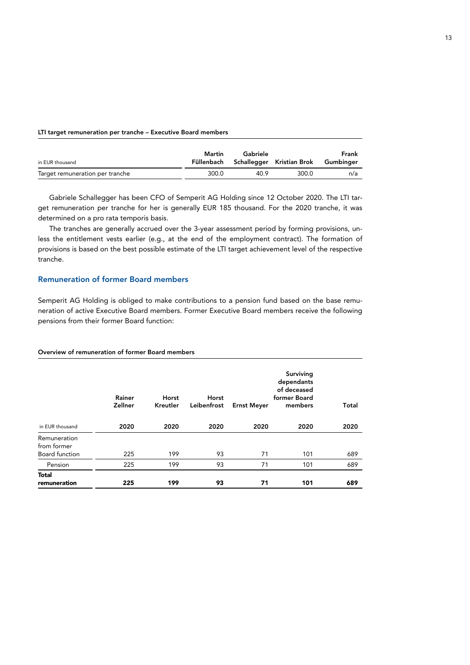#### LTI target remuneration per tranche – Executive Board members

| in EUR thousand                 | Martin | Gabriele | Füllenbach Schallegger Kristian Brok Gumbinger | Frank |
|---------------------------------|--------|----------|------------------------------------------------|-------|
| Target remuneration per tranche | 300.0  | 40.9     | 300.0                                          | n/a   |

Gabriele Schallegger has been CFO of Semperit AG Holding since 12 October 2020. The LTI target remuneration per tranche for her is generally EUR 185 thousand. For the 2020 tranche, it was determined on a pro rata temporis basis.

The tranches are generally accrued over the 3-year assessment period by forming provisions, unless the entitlement vests earlier (e.g., at the end of the employment contract). The formation of provisions is based on the best possible estimate of the LTI target achievement level of the respective tranche.

## Remuneration of former Board members

Semperit AG Holding is obliged to make contributions to a pension fund based on the base remuneration of active Executive Board members. Former Executive Board members receive the following pensions from their former Board function:

#### Overview of remuneration of former Board members

|                                                      | Rainer<br>Zellner | Horst<br>Kreutler | Horst<br>Leibenfrost | <b>Ernst Meyer</b> | Surviving<br>dependants<br>of deceased<br>former Board<br>members | Total |
|------------------------------------------------------|-------------------|-------------------|----------------------|--------------------|-------------------------------------------------------------------|-------|
| in EUR thousand                                      | 2020              | 2020              | 2020                 | 2020               | 2020                                                              | 2020  |
| Remuneration<br>from former<br><b>Board function</b> | 225               | 199               | 93                   | 71                 | 101                                                               | 689   |
|                                                      |                   |                   |                      |                    |                                                                   |       |
| Pension                                              | 225               | 199               | 93                   | 71                 | 101                                                               | 689   |
| <b>Total</b><br>remuneration                         | 225               | 199               | 93                   | 71                 | 101                                                               | 689   |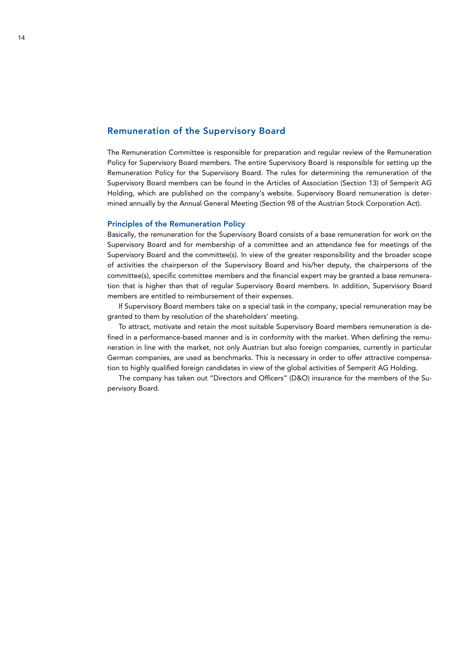## Remuneration of the Supervisory Board

The Remuneration Committee is responsible for preparation and regular review of the Remuneration Policy for Supervisory Board members. The entire Supervisory Board is responsible for setting up the Remuneration Policy for the Supervisory Board. The rules for determining the remuneration of the Supervisory Board members can be found in the Articles of Association (Section 13) of Semperit AG Holding, which are published on the company's website. Supervisory Board remuneration is determined annually by the Annual General Meeting (Section 98 of the Austrian Stock Corporation Act).

## Principles of the Remuneration Policy

Basically, the remuneration for the Supervisory Board consists of a base remuneration for work on the Supervisory Board and for membership of a committee and an attendance fee for meetings of the Supervisory Board and the committee(s). In view of the greater responsibility and the broader scope of activities the chairperson of the Supervisory Board and his/her deputy, the chairpersons of the committee(s), specific committee members and the financial expert may be granted a base remuneration that is higher than that of regular Supervisory Board members. In addition, Supervisory Board members are entitled to reimbursement of their expenses.

If Supervisory Board members take on a special task in the company, special remuneration may be granted to them by resolution of the shareholders' meeting.

To attract, motivate and retain the most suitable Supervisory Board members remuneration is defined in a performance-based manner and is in conformity with the market. When defining the remuneration in line with the market, not only Austrian but also foreign companies, currently in particular German companies, are used as benchmarks. This is necessary in order to offer attractive compensation to highly qualified foreign candidates in view of the global activities of Semperit AG Holding.

The company has taken out "Directors and Officers" (D&O) insurance for the members of the Supervisory Board.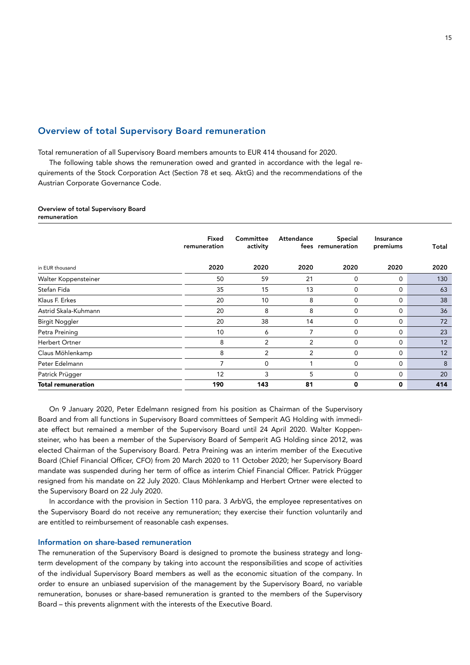## Overview of total Supervisory Board remuneration

Total remuneration of all Supervisory Board members amounts to EUR 414 thousand for 2020.

The following table shows the remuneration owed and granted in accordance with the legal requirements of the Stock Corporation Act (Section 78 et seq. AktG) and the recommendations of the Austrian Corporate Governance Code.

#### Overview of total Supervisory Board remuneration

|                           | Fixed<br>remuneration | Committee<br>activity | Attendance     | <b>Special</b><br>fees remuneration | Insurance<br>premiums | Total |
|---------------------------|-----------------------|-----------------------|----------------|-------------------------------------|-----------------------|-------|
| in EUR thousand           | 2020                  | 2020                  | 2020           | 2020                                | 2020                  | 2020  |
| Walter Koppensteiner      | 50                    | 59                    | 21             | $\mathbf 0$                         | $\Omega$              | 130   |
| Stefan Fida               | 35                    | 15                    | 13             | $\mathbf 0$                         | $\mathbf 0$           | 63    |
| Klaus F. Erkes            | 20                    | 10                    | 8              | 0                                   | 0                     | 38    |
| Astrid Skala-Kuhmann      | 20                    | 8                     | 8              | $\mathbf 0$                         | $\mathbf 0$           | 36    |
| <b>Birgit Noggler</b>     | 20                    | 38                    | 14             | $\mathbf 0$                         | $\Omega$              | 72    |
| Petra Preining            | 10                    | 6                     | 7              | $\mathbf 0$                         | 0                     | 23    |
| Herbert Ortner            | 8                     | 2                     | 2              | $\mathbf 0$                         | $\mathbf 0$           | 12    |
| Claus Möhlenkamp          | 8                     | 2                     | $\overline{2}$ | $\mathbf 0$                         | $\mathbf 0$           | 12    |
| Peter Edelmann            | 7                     | $\Omega$              |                | $\mathbf 0$                         | $\mathbf 0$           | 8     |
| Patrick Prügger           | 12                    | 3                     | 5              | $\mathbf 0$                         | $\mathbf 0$           | 20    |
| <b>Total remuneration</b> | 190                   | 143                   | 81             | 0                                   | 0                     | 414   |

On 9 January 2020, Peter Edelmann resigned from his position as Chairman of the Supervisory Board and from all functions in Supervisory Board committees of Semperit AG Holding with immediate effect but remained a member of the Supervisory Board until 24 April 2020. Walter Koppensteiner, who has been a member of the Supervisory Board of Semperit AG Holding since 2012, was elected Chairman of the Supervisory Board. Petra Preining was an interim member of the Executive Board (Chief Financial Officer, CFO) from 20 March 2020 to 11 October 2020; her Supervisory Board mandate was suspended during her term of office as interim Chief Financial Officer. Patrick Prügger resigned from his mandate on 22 July 2020. Claus Möhlenkamp and Herbert Ortner were elected to the Supervisory Board on 22 July 2020.

In accordance with the provision in Section 110 para. 3 ArbVG, the employee representatives on the Supervisory Board do not receive any remuneration; they exercise their function voluntarily and are entitled to reimbursement of reasonable cash expenses.

### Information on share-based remuneration

The remuneration of the Supervisory Board is designed to promote the business strategy and longterm development of the company by taking into account the responsibilities and scope of activities of the individual Supervisory Board members as well as the economic situation of the company. In order to ensure an unbiased supervision of the management by the Supervisory Board, no variable remuneration, bonuses or share-based remuneration is granted to the members of the Supervisory Board – this prevents alignment with the interests of the Executive Board.